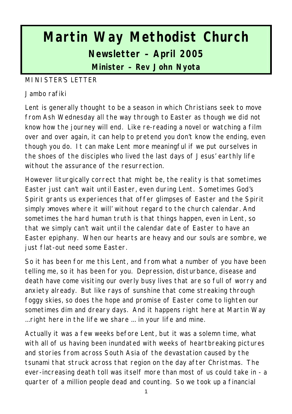# **Martin Way Methodist Church Newsletter – April 2005 Minister – Rev John Nyota**

#### MINISTER'S LETTER

#### Jambo rafiki

Lent is generally thought to be a season in which Christians seek to move from Ash Wednesday all the way through to Easter as though we did not know how the journey will end. Like re-reading a novel or watching a film over and over again, it can help to pretend you don't know the ending, even though you do. It can make Lent more meaningful if we put ourselves in the shoes of the disciples who lived the last days of Jesus' earthly life without the assurance of the resurrection.

However liturgically correct that might be, the reality is that sometimes Easter just can't wait until Easter, even during Lent. Sometimes God's Spirit grants us experiences that offer glimpses of Easter and the Spirit simply >moves where it will' without regard to the church calendar. And sometimes the hard human truth is that things happen, even in Lent, so that we simply can't wait until the calendar date of Easter to have an Easter epiphany. When our hearts are heavy and our souls are sombre, we just flat-out need some Easter.

So it has been for me this Lent, and from what a number of you have been telling me, so it has been for you. Depression, disturbance, disease and death have come visiting our overly busy lives that are so full of worry and anxiety already. But like rays of sunshine that come streaking through foggy skies, so does the hope and promise of Easter come to lighten our sometimes dim and dreary days. And it happens right here at Martin Way ...right here in the life we share ... in your life and mine.

Actually it was a few weeks before Lent, but it was a solemn time, what with all of us having been inundated with weeks of heartbreaking pictures and stories from across South Asia of the devastation caused by the tsunami that struck across that region on the day after Christmas. The ever-increasing death toll was itself more than most of us could take in - a quarter of a million people dead and counting. So we took up a financial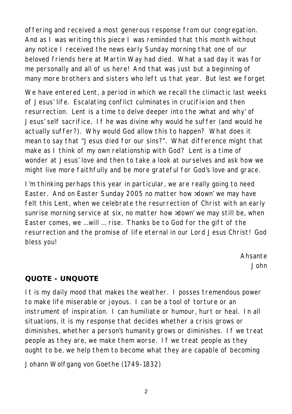offering and received a most generous response from our congregation. And as I was writing this piece I was reminded that this month without any notice I received the news early Sunday morning that one of our beloved friends here at Martin Way had died. What a sad day it was for me personally and all of us here! And that was just but a beginning of many more brothers and sisters who left us that year. But lest we forget

We have entered Lent, a period in which we recall the climactic last weeks of Jesus' life. Escalating conflict culminates in crucifixion and then resurrection. Lent is a time to delve deeper into the >what and why' of Jesus' self sacrifice. If he was divine why would he suffer (and would he actually suffer?). Why would God allow this to happen? What does it mean to say that "Jesus died for our sins?". What difference might that make as I think of my own relationship with God? Lent is a time of wonder at Jesus' love and then to take a look at ourselves and ask how we might live more faithfully and be more grateful for God's love and grace.

I'm thinking perhaps this year in particular, we are really going to need Easter. And on Easter Sunday 2005 no matter how >down' we may have felt this Lent, when we celebrate the resurrection of Christ with an early sunrise morning service at six, no matter how >down' we may still be, when Easter comes, we ...will ... rise. Thanks be to God for the gift of the resurrection and the promise of life eternal in our Lord Jesus Christ! God bless you!

> *Ahsante John*

## **QUOTE - UNQUOTE**

It is my daily mood that makes the weather. I posses tremendous power to make life miserable or joyous. I can be a tool of torture or an instrument of inspiration. I can humiliate or humour, hurt or heal. In all situations, it is my response that decides whether a crisis grows or diminishes, whether a person's humanity grows or diminishes. If we treat people as they are, we make them worse. If we treat people as they ought to be, we help them to become what they are capable of becoming

Johann Wolfgang von Goethe (1749-1832)

 $\overline{2}$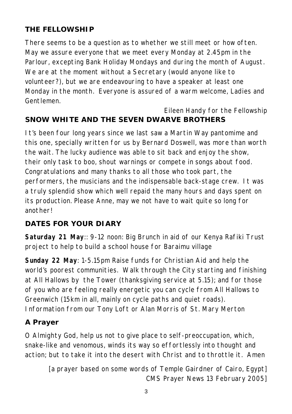# **THE FELLOWSHIP**

There seems to be a question as to whether we still meet or how often. May we assure everyone that we meet every Monday at 2.45pm in the Parlour, excepting Bank Holiday Mondays and during the month of August. We are at the moment without a Secretary (would anyone like to volunteer?), but we are endeavouring to have a speaker at least one Monday in the month. Everyone is assured of a warm welcome, Ladies and Gentlemen.

#### *Eileen Handy for the Fellowship* **SNOW WHITE AND THE SEVEN DWARVE BROTHERS**

It's been four long years since we last saw a Martin Way pantomime and this one, specially written for us by Bernard Doswell, was more than worth the wait. The lucky audience was able to sit back and enjoy the show, their only task to boo, shout warnings or compete in songs about food. Congratulations and many thanks to all those who took part, the performers, the musicians and the indispensable back-stage crew. It was a truly splendid show which well repaid the many hours and days spent on its production. Please Anne, may we not have to wait quite so long for another!

## **DATES FOR YOUR DIARY**

**Saturday 21 May**:: 9-12 noon: Big Brunch in aid of our Kenya Rafiki Trust project to help to build a school house for Baraimu village

**Sunday 22 May**: 1-5.15pm Raise funds for Christian Aid and help the world's poorest communities. Walk through the City starting and finishing at All Hallows by the Tower (thanksgiving service at 5.15); and for those of you who are feeling really energetic you can cycle from All Hallows to Greenwich (15km in all, mainly on cycle paths and quiet roads). Information from our Tony Loft or Alan Morris of St. Mary Merton

# **A Prayer**

O Almighty God, help us not to give place to self-preoccupation, which, snake-like and venomous, winds its way so effortlessly into thought and action; but to take it into the desert with Christ and to throttle it. Amen

*[a prayer based on some words of Temple Gairdner of Cairo, Egypt] CMS Prayer News 13 February 2005]*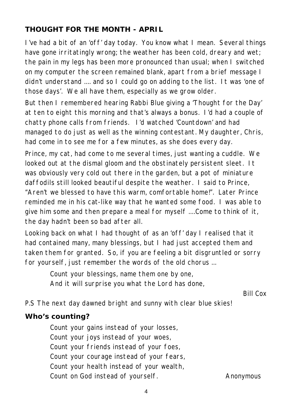### **THOUGHT FOR THE MONTH - APRIL**

I've had a bit of an 'off' day today. You know what I mean. Several things have gone irritatingly wrong; the weather has been cold, dreary and wet; the pain in my legs has been more pronounced than usual; when I switched on my computer the screen remained blank, apart from a brief message I didn't understand .... and so I could go on adding to the list. It was 'one of those days'. We all have them, especially as we grow older.

But then I remembered hearing Rabbi Blue giving a 'Thought for the Day' at ten to eight this morning and that's always a bonus. I'd had a couple of chatty phone calls from friends. I'd watched 'Countdown' and had managed to do just as well as the winning contestant. My daughter, Chris, had come in to see me for a few minutes, as she does every day.

Prince, my cat, had come to me several times, just wanting a cuddle. We looked out at the dismal gloom and the obstinately persistent sleet. It was obviously very cold out there in the garden, but a pot of miniature daffodils still looked beautiful despite the weather. I said to Prince, "Aren't we blessed to have this warm, comfortable home!". Later Prince reminded me in his cat-like way that he wanted some food. I was able to give him some and then prepare a meal for myself ....Come to think of it, the day hadn't been so bad after all.

Looking back on what I had thought of as an 'off' day I realised that it had contained many, many blessings, but I had just accepted them and taken them for granted. So, if you are feeling a bit disgruntled or sorry for yourself, just remember the words of the old chorus ...

> *Count your blessings, name them one by one, And it will surprise you what the Lord has done,*

> > *Bill Cox*

P.S The next day dawned bright and sunny with clear blue skies!

#### **Who's counting?**

Count your gains instead of your losses, Count your joys instead of your woes, Count your friends instead of your foes, Count your courage instead of your fears, Count your health instead of your wealth, Count on God instead of yourself. *Anonymous*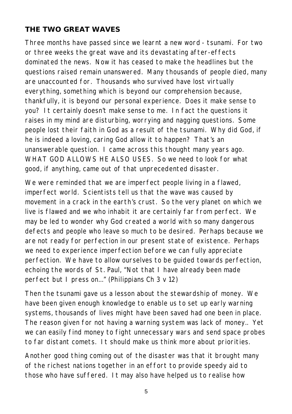## **THE TWO GREAT WAVES**

Three months have passed since we learnt a new word - tsunami. For two or three weeks the great wave and its devastating after-effects dominated the news. Now it has ceased to make the headlines but the questions raised remain unanswered. Many thousands of people died, many are unaccounted for. Thousands who survived have lost virtually everything, something which is beyond our comprehension because, thankfully, it is beyond our personal experience. Does it make sense to you? It certainly doesn't make sense to me. In fact the questions it raises in my mind are disturbing, worrying and nagging questions. Some people lost their faith in God as a result of the tsunami. Why did God, if he is indeed a loving, caring God allow it to happen? That's an unanswerable question. I came across this thought many years ago. WHAT GOD ALLOWS HE ALSO USES. So we need to look for what good, if anything, came out of that unprecedented disaster.

We were reminded that we are imperfect people living in a flawed, imperfect world. Scientists tell us that the wave was caused by movement in a crack in the earth's crust. So the very planet on which we live is flawed and we who inhabit it are certainly far from perfect. We may be led to wonder why God created a world with so many dangerous defects and people who leave so much to be desired. Perhaps because we are not ready for perfection in our present state of existence. Perhaps we need to experience imperfection before we can fully appreciate perfection. We have to allow ourselves to be guided towards perfection, echoing the words of St. Paul, "Not that I have already been made perfect but I press on..." (Philippians Ch 3 v 12)

Then the tsunami gave us a lesson about the stewardship of money. We have been given enough knowledge to enable us to set up early warning systems, thousands of lives might have been saved had one been in place. The reason given for not having a warning system was lack of money.. Yet we can easily find money to fight unnecessary wars and send space probes to far distant comets. It should make us think more about priorities.

Another good thing coming out of the disaster was that it brought many of the richest nations together in an effort to provide speedy aid to those who have suffered. It may also have helped us to realise how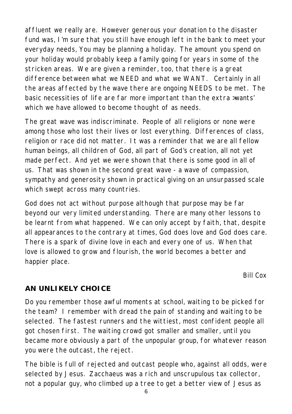affluent we really are. However generous your donation to the disaster fund was, I'm sure that you still have enough left in the bank to meet your everyday needs, You may be planning a holiday. The amount you spend on your holiday would probably keep a family going for years in some of the stricken areas. We are given a reminder, too, that there is a great difference between what we NEED and what we WANT. Certainly in all the areas affected by the wave there are ongoing NEEDS to be met. The basic necessities of life are far more important than the extra >wants' which we have allowed to become thought of as needs.

The great wave was indiscriminate. People of all religions or none were among those who lost their lives or lost everything. Differences of class, religion or race did not matter. It was a reminder that we are all fellow human beings, all children of God, all part of God's creation, all not yet made perfect. And yet we were shown that there is some good in all of us. That was shown in the second great wave - a wave of compassion, sympathy and generosity shown in practical giving on an unsurpassed scale which swept across many countries.

God does not act without purpose although that purpose may be far beyond our very limited understanding. There are many other lessons to be learnt from what happened. We can only accept by faith, that, despite all appearances to the contrary at times, God does love and God does care. There is a spark of divine love in each and every one of us. When that love is allowed to grow and flourish, the world becomes a better and happier place.

*Bill Cox*

## **AN UNLIKELY CHOICE**

Do you remember those awful moments at school, waiting to be picked for the team? I remember with dread the pain of standing and waiting to be selected. The fastest runners and the wittiest, most confident people all got chosen first. The waiting crowd got smaller and smaller, until you became more obviously a part of the unpopular group, for whatever reason you were the outcast, the reject.

The bible is full of rejected and outcast people who, against all odds, were selected by Jesus. Zacchaeus was a rich and unscrupulous tax collector, not a popular guy, who climbed up a tree to get a better view of Jesus as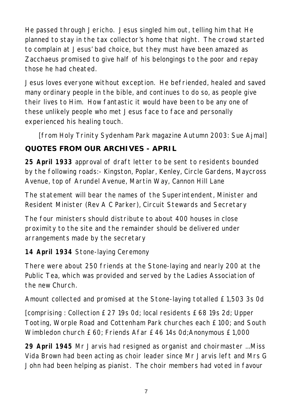He passed through Jericho. Jesus singled him out, telling him that He planned to stay in the tax collector's home that night. The crowd started to complain at Jesus' bad choice, but they must have been amazed as Zacchaeus promised to give half of his belongings to the poor and repay those he had cheated.

Jesus loves everyone without exception. He befriended, healed and saved many ordinary people in the bible, and continues to do so, as people give their lives to Him. How fantastic it would have been to be any one of these unlikely people who met Jesus face to face and personally experienced his healing touch.

*[from Holy Trinity Sydenham Park magazine Autumn 2003: Sue Ajmal]*

# **QUOTES FROM OUR ARCHIVES - APRIL**

**25 April 1933** approval of draft letter to be sent to residents bounded by the following roads:- Kingston, Poplar, Kenley, Circle Gardens, Maycross Avenue, top of Arundel Avenue, Martin Way, Cannon Hill Lane

The statement will bear the names of the Superintendent, Minister and Resident Minister (Rev A C Parker), Circuit Stewards and Secretary

The four ministers should distribute to about 400 houses in close proximity to the site and the remainder should be delivered under arrangements made by the secretary

**14 April 1934** Stone-laying Ceremony

There were about 250 friends at the Stone-laying and nearly 200 at the Public Tea, which was provided and served by the Ladies Association of the new Church.

Amount collected and promised at the Stone-laying totalled £1,503 3s 0d

[comprising : Collection £27 19s 0d; local residents £68 19s 2d; Upper Tooting, Worple Road and Cottenham Park churches each £100; and South Wimbledon church £60; Friends Afar £46 14s 0d;Anonymous £1,000

**29 April 1945** Mr Jarvis had resigned as organist and choirmaster ...Miss Vida Brown had been acting as choir leader since Mr Jarvis left and Mrs G John had been helping as pianist. The choir members had voted in favour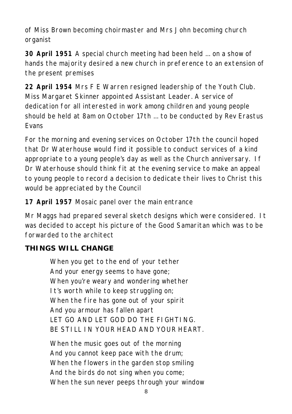of Miss Brown becoming choirmaster and Mrs John becoming church organist

**30 April 1951** A special church meeting had been held ... on a show of hands the majority desired a new church in preference to an extension of the present premises

**22 April 1954** Mrs F E Warren resigned leadership of the Youth Club. Miss Margaret Skinner appointed Assistant Leader. A service of dedication for all interested in work among children and young people should be held at 8am on October 17th ... to be conducted by Rev Erastus Evans

For the morning and evening services on October 17th the council hoped that Dr Waterhouse would find it possible to conduct services of a kind appropriate to a young people's day as well as the Church anniversary. If Dr Waterhouse should think fit at the evening service to make an appeal to young people to record a decision to dedicate their lives to Christ this would be appreciated by the Council

**17 April 1957** Mosaic panel over the main entrance

Mr Maggs had prepared several sketch designs which were considered. It was decided to accept his picture of the Good Samaritan which was to be forwarded to the architect

# **THINGS WILL CHANGE**

When you get to the end of your tether And your energy seems to have gone; When you're weary and wondering whether It's worth while to keep struggling on; When the fire has gone out of your spirit And you armour has fallen apart LET GO AND LET GOD DO THE FIGHTING. BE STILL IN YOUR HEAD AND YOUR HEART.

When the music goes out of the morning And you cannot keep pace with the drum; When the flowers in the garden stop smiling And the birds do not sing when you come; When the sun never peeps through your window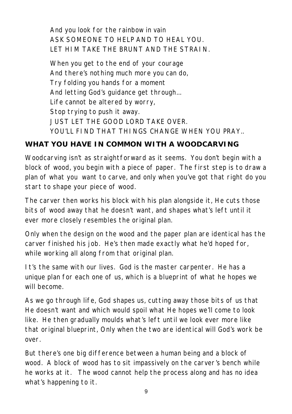And you look for the rainbow in vain ASK SOMEONE TO HELP AND TO HEAL YOU. LET HIM TAKE THE BRUNT AND THE STRAIN.

When you get to the end of your courage And there's nothing much more you can do, Try folding you hands for a moment And letting God's guidance get through... Life cannot be altered by worry, Stop trying to push it away. JUST LET THE GOOD LORD TAKE OVER. YOU'LL FIND THAT THINGS CHANGE WHEN YOU PRAY.

#### **WHAT YOU HAVE IN COMMON WITH A WOODCARVING**

Woodcarving isn't as straightforward as it seems. You don't begin with a block of wood, you begin with a piece of paper. The first step is to draw a plan of what you want to carve, and only when you've got that right do you start to shape your piece of wood.

The carver then works his block with his plan alongside it, He cuts those bits of wood away that he doesn't want, and shapes what's left until it ever more closely resembles the original plan.

Only when the design on the wood and the paper plan are identical has the carver finished his job. He's then made exactly what he'd hoped for, while working all along from that original plan.

It's the same with our lives. God is the master carpenter. He has a unique plan for each one of us, which is a blueprint of what he hopes we will become.

As we go through life, God shapes us, cutting away those bits of us that He doesn't want and which would spoil what He hopes we'll come to look like. He then gradually moulds what's left until we look ever more like that original blueprint, Only when the two are identical will God's work be over.

But there's one big difference between a human being and a block of wood. A block of wood has to sit impassively on the carver's bench while he works at it. The wood cannot help the process along and has no idea what's happening to it.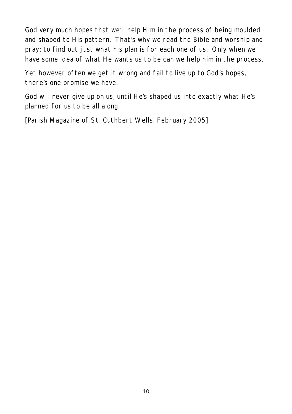God very much hopes that we'll help Him in the process of being moulded and shaped to His pattern. That's why we read the Bible and worship and pray: to find out just what his plan is for each one of us. Only when we have some idea of what He wants us to be can we help him in the process.

Yet however often we get it wrong and fail to live up to God's hopes, there's one promise we have.

God will never give up on us, until He's shaped us into exactly what He's planned for us to be all along.

[Parish Magazine of St. Cuthbert Wells, February 2005]